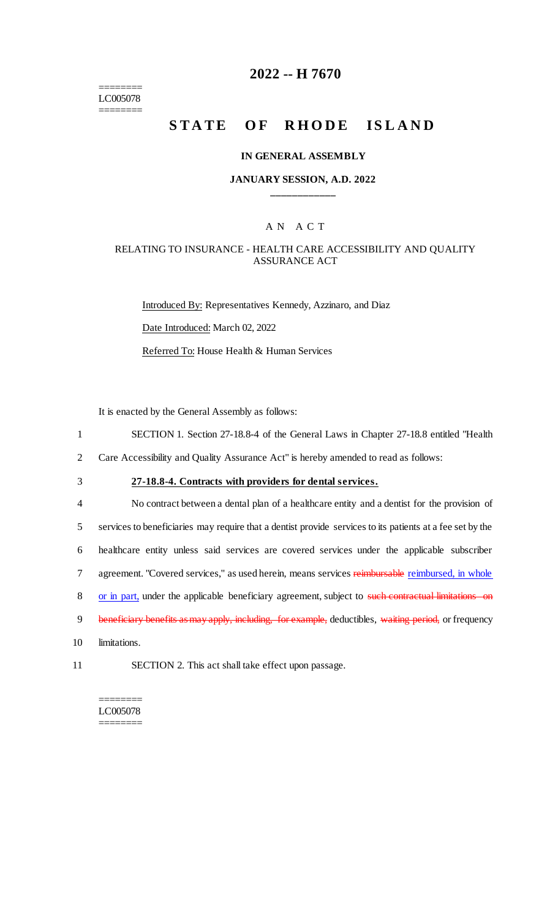======== LC005078 ========

### **2022 -- H 7670**

# **STATE OF RHODE ISLAND**

#### **IN GENERAL ASSEMBLY**

### **JANUARY SESSION, A.D. 2022 \_\_\_\_\_\_\_\_\_\_\_\_**

### A N A C T

### RELATING TO INSURANCE - HEALTH CARE ACCESSIBILITY AND QUALITY ASSURANCE ACT

Introduced By: Representatives Kennedy, Azzinaro, and Diaz Date Introduced: March 02, 2022 Referred To: House Health & Human Services

It is enacted by the General Assembly as follows:

- 1 SECTION 1. Section 27-18.8-4 of the General Laws in Chapter 27-18.8 entitled "Health
- 2 Care Accessibility and Quality Assurance Act" is hereby amended to read as follows:
- 

### 3 **27-18.8-4. Contracts with providers for dental services.**

4 No contract between a dental plan of a healthcare entity and a dentist for the provision of 5 services to beneficiaries may require that a dentist provide services to its patients at a fee set by the 6 healthcare entity unless said services are covered services under the applicable subscriber 7 agreement. "Covered services," as used herein, means services reimbursable reimbursed, in whole 8 or in part, under the applicable beneficiary agreement, subject to such contractual limitations on 9 beneficiary benefits as may apply, including, for example, deductibles, waiting period, or frequency

10 limitations.

11 SECTION 2. This act shall take effect upon passage.

======== LC005078 ========